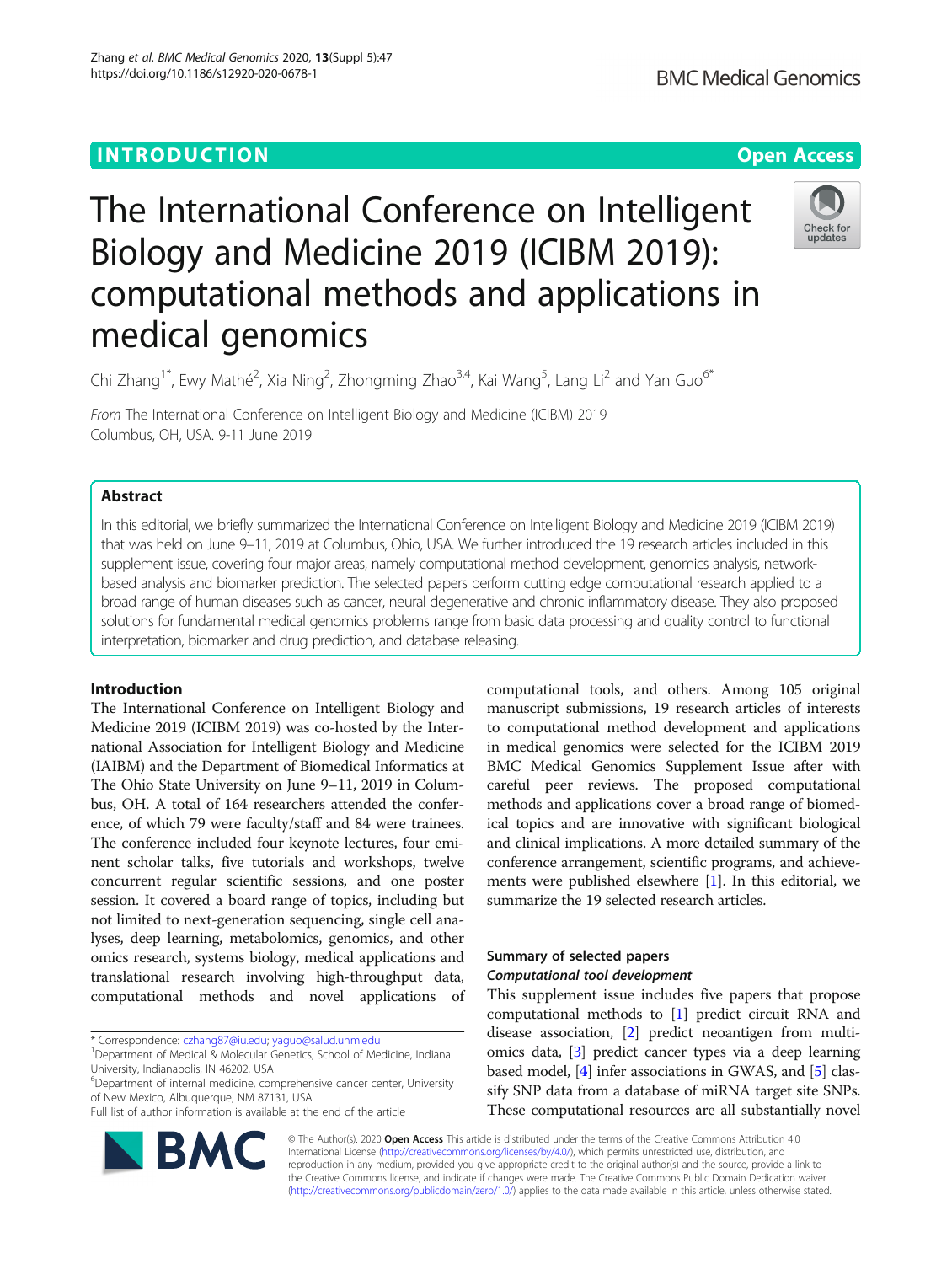# **INTRODUCTION CONSUMING THE OPEN ACCESS**

# The International Conference on Intelligent Biology and Medicine 2019 (ICIBM 2019): computational methods and applications in medical genomics



Chi Zhang<sup>1\*</sup>, Ewy Mathé<sup>2</sup>, Xia Ning<sup>2</sup>, Zhongming Zhao<sup>3,4</sup>, Kai Wang<sup>5</sup>, Lang Li<sup>2</sup> and Yan Guo<sup>6\*</sup>

From The International Conference on Intelligent Biology and Medicine (ICIBM) 2019 Columbus, OH, USA. 9-11 June 2019

# Abstract

In this editorial, we briefly summarized the International Conference on Intelligent Biology and Medicine 2019 (ICIBM 2019) that was held on June 9–11, 2019 at Columbus, Ohio, USA. We further introduced the 19 research articles included in this supplement issue, covering four major areas, namely computational method development, genomics analysis, networkbased analysis and biomarker prediction. The selected papers perform cutting edge computational research applied to a broad range of human diseases such as cancer, neural degenerative and chronic inflammatory disease. They also proposed solutions for fundamental medical genomics problems range from basic data processing and quality control to functional interpretation, biomarker and drug prediction, and database releasing.

# Introduction

The International Conference on Intelligent Biology and Medicine 2019 (ICIBM 2019) was co-hosted by the International Association for Intelligent Biology and Medicine (IAIBM) and the Department of Biomedical Informatics at The Ohio State University on June 9–11, 2019 in Columbus, OH. A total of 164 researchers attended the conference, of which 79 were faculty/staff and 84 were trainees. The conference included four keynote lectures, four eminent scholar talks, five tutorials and workshops, twelve concurrent regular scientific sessions, and one poster session. It covered a board range of topics, including but not limited to next-generation sequencing, single cell analyses, deep learning, metabolomics, genomics, and other omics research, systems biology, medical applications and translational research involving high-throughput data, computational methods and novel applications of

\* Correspondence: [czhang87@iu.edu](mailto:czhang87@iu.edu); [yaguo@salud.unm.edu](mailto:yaguo@salud.unm.edu) <sup>1</sup>

<sup>6</sup>Department of internal medicine, comprehensive cancer center, University of New Mexico, Albuquerque, NM 87131, USA

Full list of author information is available at the end of the article



computational tools, and others. Among 105 original manuscript submissions, 19 research articles of interests to computational method development and applications in medical genomics were selected for the ICIBM 2019 BMC Medical Genomics Supplement Issue after with careful peer reviews. The proposed computational methods and applications cover a broad range of biomedical topics and are innovative with significant biological and clinical implications. A more detailed summary of the conference arrangement, scientific programs, and achievements were published elsewhere [\[1](#page-4-0)]. In this editorial, we summarize the 19 selected research articles.

# Summary of selected papers Computational tool development

This supplement issue includes five papers that propose computational methods to [[1\]](#page-4-0) predict circuit RNA and disease association, [\[2](#page-4-0)] predict neoantigen from multiomics data, [[3\]](#page-4-0) predict cancer types via a deep learning based model, [[4\]](#page-4-0) infer associations in GWAS, and [[5](#page-4-0)] classify SNP data from a database of miRNA target site SNPs. These computational resources are all substantially novel

© The Author(s). 2020 Open Access This article is distributed under the terms of the Creative Commons Attribution 4.0 International License [\(http://creativecommons.org/licenses/by/4.0/](http://creativecommons.org/licenses/by/4.0/)), which permits unrestricted use, distribution, and reproduction in any medium, provided you give appropriate credit to the original author(s) and the source, provide a link to the Creative Commons license, and indicate if changes were made. The Creative Commons Public Domain Dedication waiver [\(http://creativecommons.org/publicdomain/zero/1.0/](http://creativecommons.org/publicdomain/zero/1.0/)) applies to the data made available in this article, unless otherwise stated.

<sup>&</sup>lt;sup>1</sup>Department of Medical & Molecular Genetics, School of Medicine, Indiana University, Indianapolis, IN 46202, USA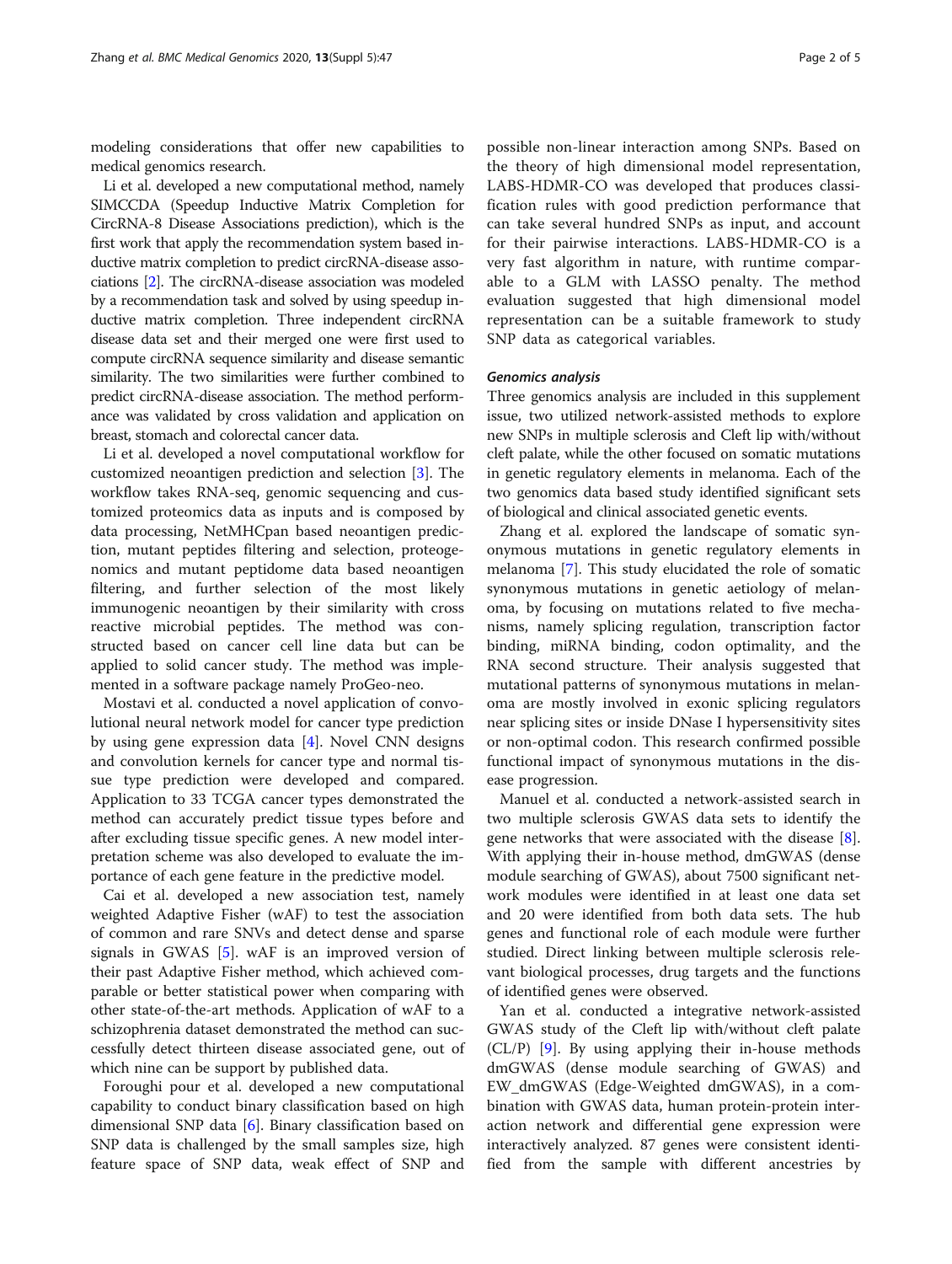modeling considerations that offer new capabilities to medical genomics research.

Li et al. developed a new computational method, namely SIMCCDA (Speedup Inductive Matrix Completion for CircRNA-8 Disease Associations prediction), which is the first work that apply the recommendation system based inductive matrix completion to predict circRNA-disease associations [\[2\]](#page-4-0). The circRNA-disease association was modeled by a recommendation task and solved by using speedup inductive matrix completion. Three independent circRNA disease data set and their merged one were first used to compute circRNA sequence similarity and disease semantic similarity. The two similarities were further combined to predict circRNA-disease association. The method performance was validated by cross validation and application on breast, stomach and colorectal cancer data.

Li et al. developed a novel computational workflow for customized neoantigen prediction and selection [[3\]](#page-4-0). The workflow takes RNA-seq, genomic sequencing and customized proteomics data as inputs and is composed by data processing, NetMHCpan based neoantigen prediction, mutant peptides filtering and selection, proteogenomics and mutant peptidome data based neoantigen filtering, and further selection of the most likely immunogenic neoantigen by their similarity with cross reactive microbial peptides. The method was constructed based on cancer cell line data but can be applied to solid cancer study. The method was implemented in a software package namely ProGeo-neo.

Mostavi et al. conducted a novel application of convolutional neural network model for cancer type prediction by using gene expression data [[4\]](#page-4-0). Novel CNN designs and convolution kernels for cancer type and normal tissue type prediction were developed and compared. Application to 33 TCGA cancer types demonstrated the method can accurately predict tissue types before and after excluding tissue specific genes. A new model interpretation scheme was also developed to evaluate the importance of each gene feature in the predictive model.

Cai et al. developed a new association test, namely weighted Adaptive Fisher (wAF) to test the association of common and rare SNVs and detect dense and sparse signals in GWAS [\[5\]](#page-4-0). wAF is an improved version of their past Adaptive Fisher method, which achieved comparable or better statistical power when comparing with other state-of-the-art methods. Application of wAF to a schizophrenia dataset demonstrated the method can successfully detect thirteen disease associated gene, out of which nine can be support by published data.

Foroughi pour et al. developed a new computational capability to conduct binary classification based on high dimensional SNP data [[6\]](#page-4-0). Binary classification based on SNP data is challenged by the small samples size, high feature space of SNP data, weak effect of SNP and possible non-linear interaction among SNPs. Based on the theory of high dimensional model representation, LABS-HDMR-CO was developed that produces classification rules with good prediction performance that can take several hundred SNPs as input, and account for their pairwise interactions. LABS-HDMR-CO is a very fast algorithm in nature, with runtime comparable to a GLM with LASSO penalty. The method evaluation suggested that high dimensional model representation can be a suitable framework to study SNP data as categorical variables.

#### Genomics analysis

Three genomics analysis are included in this supplement issue, two utilized network-assisted methods to explore new SNPs in multiple sclerosis and Cleft lip with/without cleft palate, while the other focused on somatic mutations in genetic regulatory elements in melanoma. Each of the two genomics data based study identified significant sets of biological and clinical associated genetic events.

Zhang et al. explored the landscape of somatic synonymous mutations in genetic regulatory elements in melanoma [\[7\]](#page-4-0). This study elucidated the role of somatic synonymous mutations in genetic aetiology of melanoma, by focusing on mutations related to five mechanisms, namely splicing regulation, transcription factor binding, miRNA binding, codon optimality, and the RNA second structure. Their analysis suggested that mutational patterns of synonymous mutations in melanoma are mostly involved in exonic splicing regulators near splicing sites or inside DNase I hypersensitivity sites or non-optimal codon. This research confirmed possible functional impact of synonymous mutations in the disease progression.

Manuel et al. conducted a network-assisted search in two multiple sclerosis GWAS data sets to identify the gene networks that were associated with the disease [\[8](#page-4-0)]. With applying their in-house method, dmGWAS (dense module searching of GWAS), about 7500 significant network modules were identified in at least one data set and 20 were identified from both data sets. The hub genes and functional role of each module were further studied. Direct linking between multiple sclerosis relevant biological processes, drug targets and the functions of identified genes were observed.

Yan et al. conducted a integrative network-assisted GWAS study of the Cleft lip with/without cleft palate (CL/P) [[9\]](#page-4-0). By using applying their in-house methods dmGWAS (dense module searching of GWAS) and EW\_dmGWAS (Edge-Weighted dmGWAS), in a combination with GWAS data, human protein-protein interaction network and differential gene expression were interactively analyzed. 87 genes were consistent identified from the sample with different ancestries by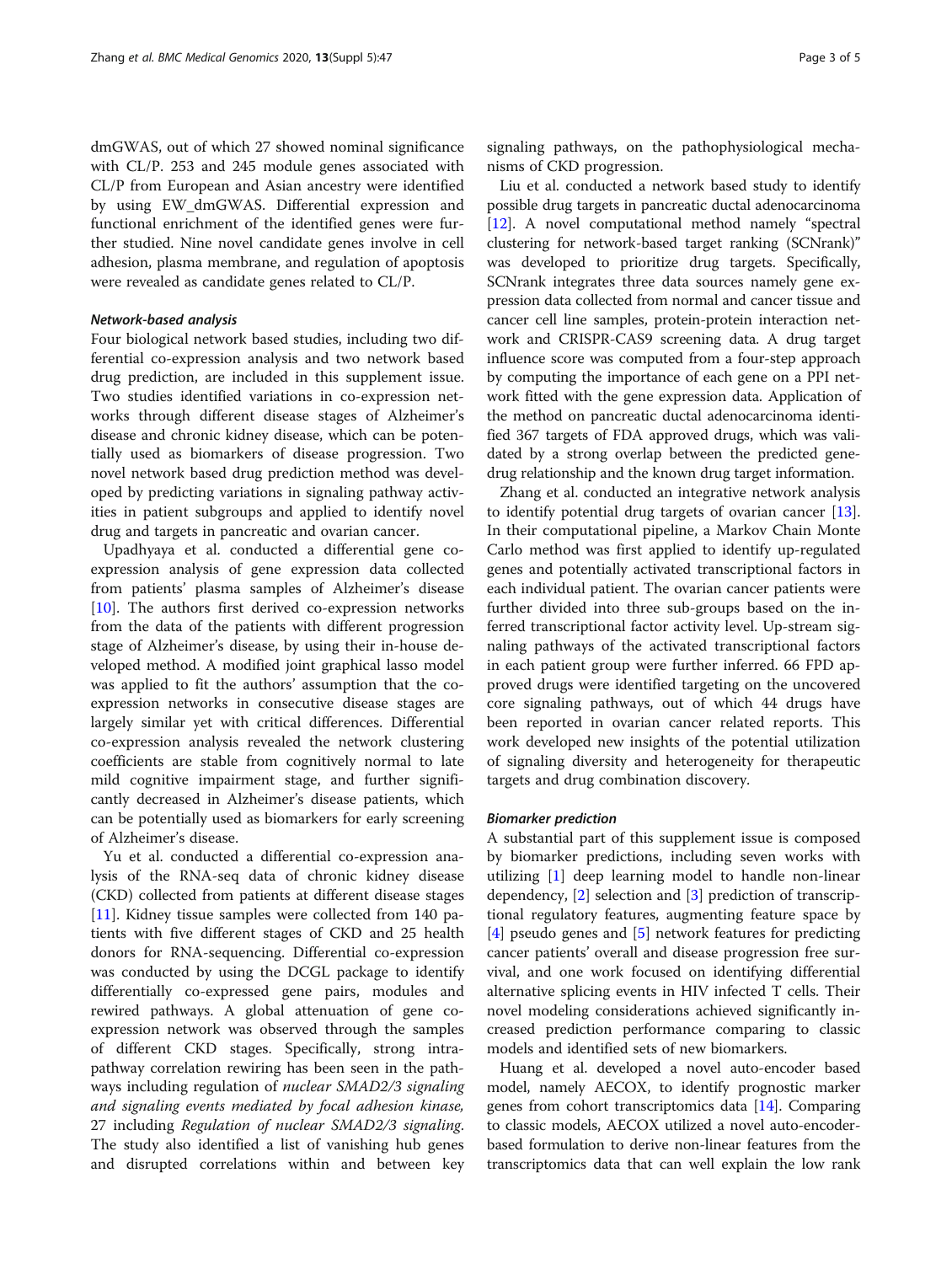dmGWAS, out of which 27 showed nominal significance with CL/P. 253 and 245 module genes associated with CL/P from European and Asian ancestry were identified by using EW\_dmGWAS. Differential expression and functional enrichment of the identified genes were further studied. Nine novel candidate genes involve in cell adhesion, plasma membrane, and regulation of apoptosis were revealed as candidate genes related to CL/P.

#### Network-based analysis

Four biological network based studies, including two differential co-expression analysis and two network based drug prediction, are included in this supplement issue. Two studies identified variations in co-expression networks through different disease stages of Alzheimer's disease and chronic kidney disease, which can be potentially used as biomarkers of disease progression. Two novel network based drug prediction method was developed by predicting variations in signaling pathway activities in patient subgroups and applied to identify novel drug and targets in pancreatic and ovarian cancer.

Upadhyaya et al. conducted a differential gene coexpression analysis of gene expression data collected from patients' plasma samples of Alzheimer's disease [[10\]](#page-4-0). The authors first derived co-expression networks from the data of the patients with different progression stage of Alzheimer's disease, by using their in-house developed method. A modified joint graphical lasso model was applied to fit the authors' assumption that the coexpression networks in consecutive disease stages are largely similar yet with critical differences. Differential co-expression analysis revealed the network clustering coefficients are stable from cognitively normal to late mild cognitive impairment stage, and further significantly decreased in Alzheimer's disease patients, which can be potentially used as biomarkers for early screening of Alzheimer's disease.

Yu et al. conducted a differential co-expression analysis of the RNA-seq data of chronic kidney disease (CKD) collected from patients at different disease stages [[11\]](#page-4-0). Kidney tissue samples were collected from 140 patients with five different stages of CKD and 25 health donors for RNA-sequencing. Differential co-expression was conducted by using the DCGL package to identify differentially co-expressed gene pairs, modules and rewired pathways. A global attenuation of gene coexpression network was observed through the samples of different CKD stages. Specifically, strong intrapathway correlation rewiring has been seen in the pathways including regulation of nuclear SMAD2/3 signaling and signaling events mediated by focal adhesion kinase, 27 including Regulation of nuclear SMAD2/3 signaling. The study also identified a list of vanishing hub genes and disrupted correlations within and between key signaling pathways, on the pathophysiological mechanisms of CKD progression.

Liu et al. conducted a network based study to identify possible drug targets in pancreatic ductal adenocarcinoma [[12](#page-4-0)]. A novel computational method namely "spectral clustering for network-based target ranking (SCNrank)" was developed to prioritize drug targets. Specifically, SCNrank integrates three data sources namely gene expression data collected from normal and cancer tissue and cancer cell line samples, protein-protein interaction network and CRISPR-CAS9 screening data. A drug target influence score was computed from a four-step approach by computing the importance of each gene on a PPI network fitted with the gene expression data. Application of the method on pancreatic ductal adenocarcinoma identified 367 targets of FDA approved drugs, which was validated by a strong overlap between the predicted genedrug relationship and the known drug target information.

Zhang et al. conducted an integrative network analysis to identify potential drug targets of ovarian cancer [\[13](#page-4-0)]. In their computational pipeline, a Markov Chain Monte Carlo method was first applied to identify up-regulated genes and potentially activated transcriptional factors in each individual patient. The ovarian cancer patients were further divided into three sub-groups based on the inferred transcriptional factor activity level. Up-stream signaling pathways of the activated transcriptional factors in each patient group were further inferred. 66 FPD approved drugs were identified targeting on the uncovered core signaling pathways, out of which 44 drugs have been reported in ovarian cancer related reports. This work developed new insights of the potential utilization of signaling diversity and heterogeneity for therapeutic targets and drug combination discovery.

#### Biomarker prediction

A substantial part of this supplement issue is composed by biomarker predictions, including seven works with utilizing [[1\]](#page-4-0) deep learning model to handle non-linear dependency, [\[2](#page-4-0)] selection and [\[3](#page-4-0)] prediction of transcriptional regulatory features, augmenting feature space by [[4\]](#page-4-0) pseudo genes and [[5\]](#page-4-0) network features for predicting cancer patients' overall and disease progression free survival, and one work focused on identifying differential alternative splicing events in HIV infected T cells. Their novel modeling considerations achieved significantly increased prediction performance comparing to classic models and identified sets of new biomarkers.

Huang et al. developed a novel auto-encoder based model, namely AECOX, to identify prognostic marker genes from cohort transcriptomics data [[14](#page-4-0)]. Comparing to classic models, AECOX utilized a novel auto-encoderbased formulation to derive non-linear features from the transcriptomics data that can well explain the low rank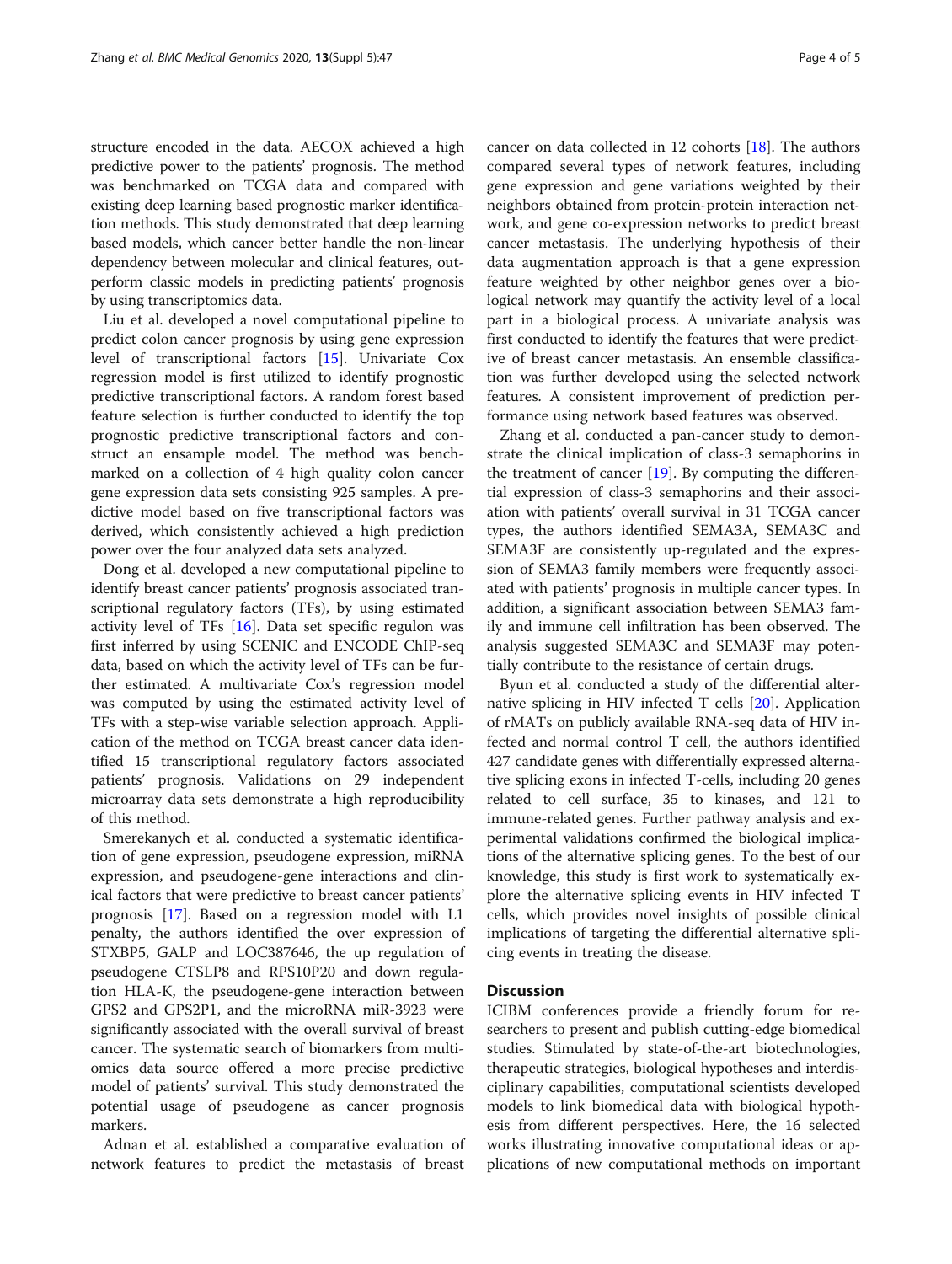structure encoded in the data. AECOX achieved a high predictive power to the patients' prognosis. The method was benchmarked on TCGA data and compared with existing deep learning based prognostic marker identification methods. This study demonstrated that deep learning based models, which cancer better handle the non-linear dependency between molecular and clinical features, outperform classic models in predicting patients' prognosis by using transcriptomics data.

Liu et al. developed a novel computational pipeline to predict colon cancer prognosis by using gene expression level of transcriptional factors [\[15\]](#page-4-0). Univariate Cox regression model is first utilized to identify prognostic predictive transcriptional factors. A random forest based feature selection is further conducted to identify the top prognostic predictive transcriptional factors and construct an ensample model. The method was benchmarked on a collection of 4 high quality colon cancer gene expression data sets consisting 925 samples. A predictive model based on five transcriptional factors was derived, which consistently achieved a high prediction power over the four analyzed data sets analyzed.

Dong et al. developed a new computational pipeline to identify breast cancer patients' prognosis associated transcriptional regulatory factors (TFs), by using estimated activity level of TFs [[16](#page-4-0)]. Data set specific regulon was first inferred by using SCENIC and ENCODE ChIP-seq data, based on which the activity level of TFs can be further estimated. A multivariate Cox's regression model was computed by using the estimated activity level of TFs with a step-wise variable selection approach. Application of the method on TCGA breast cancer data identified 15 transcriptional regulatory factors associated patients' prognosis. Validations on 29 independent microarray data sets demonstrate a high reproducibility of this method.

Smerekanych et al. conducted a systematic identification of gene expression, pseudogene expression, miRNA expression, and pseudogene-gene interactions and clinical factors that were predictive to breast cancer patients' prognosis [[17](#page-4-0)]. Based on a regression model with L1 penalty, the authors identified the over expression of STXBP5, GALP and LOC387646, the up regulation of pseudogene CTSLP8 and RPS10P20 and down regulation HLA-K, the pseudogene-gene interaction between GPS2 and GPS2P1, and the microRNA miR-3923 were significantly associated with the overall survival of breast cancer. The systematic search of biomarkers from multiomics data source offered a more precise predictive model of patients' survival. This study demonstrated the potential usage of pseudogene as cancer prognosis markers.

Adnan et al. established a comparative evaluation of network features to predict the metastasis of breast cancer on data collected in 12 cohorts [[18\]](#page-4-0). The authors compared several types of network features, including gene expression and gene variations weighted by their neighbors obtained from protein-protein interaction network, and gene co-expression networks to predict breast cancer metastasis. The underlying hypothesis of their data augmentation approach is that a gene expression feature weighted by other neighbor genes over a biological network may quantify the activity level of a local part in a biological process. A univariate analysis was first conducted to identify the features that were predictive of breast cancer metastasis. An ensemble classification was further developed using the selected network features. A consistent improvement of prediction performance using network based features was observed.

Zhang et al. conducted a pan-cancer study to demonstrate the clinical implication of class-3 semaphorins in the treatment of cancer  $[19]$  $[19]$ . By computing the differential expression of class-3 semaphorins and their association with patients' overall survival in 31 TCGA cancer types, the authors identified SEMA3A, SEMA3C and SEMA3F are consistently up-regulated and the expression of SEMA3 family members were frequently associated with patients' prognosis in multiple cancer types. In addition, a significant association between SEMA3 family and immune cell infiltration has been observed. The analysis suggested SEMA3C and SEMA3F may potentially contribute to the resistance of certain drugs.

Byun et al. conducted a study of the differential alternative splicing in HIV infected T cells [\[20\]](#page-4-0). Application of rMATs on publicly available RNA-seq data of HIV infected and normal control T cell, the authors identified 427 candidate genes with differentially expressed alternative splicing exons in infected T-cells, including 20 genes related to cell surface, 35 to kinases, and 121 to immune-related genes. Further pathway analysis and experimental validations confirmed the biological implications of the alternative splicing genes. To the best of our knowledge, this study is first work to systematically explore the alternative splicing events in HIV infected T cells, which provides novel insights of possible clinical implications of targeting the differential alternative splicing events in treating the disease.

### **Discussion**

ICIBM conferences provide a friendly forum for researchers to present and publish cutting-edge biomedical studies. Stimulated by state-of-the-art biotechnologies, therapeutic strategies, biological hypotheses and interdisciplinary capabilities, computational scientists developed models to link biomedical data with biological hypothesis from different perspectives. Here, the 16 selected works illustrating innovative computational ideas or applications of new computational methods on important